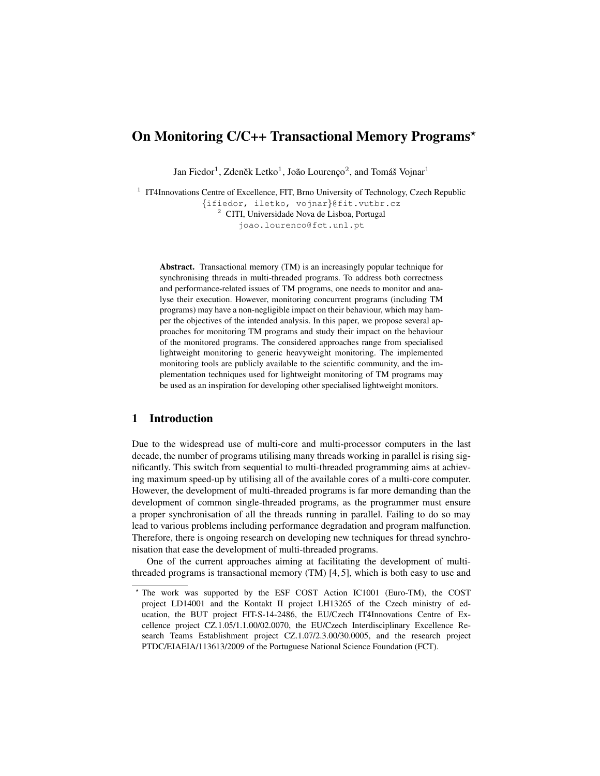# On Monitoring C/C++ Transactional Memory Programs\*

Jan Fiedor<sup>1</sup>, Zdeněk Letko<sup>1</sup>, João Lourenço<sup>2</sup>, and Tomáš Vojnar<sup>1</sup>

<sup>1</sup> IT4Innovations Centre of Excellence, FIT, Brno University of Technology, Czech Republic

{ifiedor, iletko, vojnar}@fit.vutbr.cz <sup>2</sup> CITI, Universidade Nova de Lisboa, Portugal joao.lourenco@fct.unl.pt

Abstract. Transactional memory (TM) is an increasingly popular technique for synchronising threads in multi-threaded programs. To address both correctness and performance-related issues of TM programs, one needs to monitor and analyse their execution. However, monitoring concurrent programs (including TM programs) may have a non-negligible impact on their behaviour, which may hamper the objectives of the intended analysis. In this paper, we propose several approaches for monitoring TM programs and study their impact on the behaviour of the monitored programs. The considered approaches range from specialised lightweight monitoring to generic heavyweight monitoring. The implemented monitoring tools are publicly available to the scientific community, and the implementation techniques used for lightweight monitoring of TM programs may be used as an inspiration for developing other specialised lightweight monitors.

## 1 Introduction

Due to the widespread use of multi-core and multi-processor computers in the last decade, the number of programs utilising many threads working in parallel is rising significantly. This switch from sequential to multi-threaded programming aims at achieving maximum speed-up by utilising all of the available cores of a multi-core computer. However, the development of multi-threaded programs is far more demanding than the development of common single-threaded programs, as the programmer must ensure a proper synchronisation of all the threads running in parallel. Failing to do so may lead to various problems including performance degradation and program malfunction. Therefore, there is ongoing research on developing new techniques for thread synchronisation that ease the development of multi-threaded programs.

One of the current approaches aiming at facilitating the development of multithreaded programs is transactional memory (TM) [4, 5], which is both easy to use and

<sup>?</sup> The work was supported by the ESF COST Action IC1001 (Euro-TM), the COST project LD14001 and the Kontakt II project LH13265 of the Czech ministry of education, the BUT project FIT-S-14-2486, the EU/Czech IT4Innovations Centre of Excellence project CZ.1.05/1.1.00/02.0070, the EU/Czech Interdisciplinary Excellence Research Teams Establishment project CZ.1.07/2.3.00/30.0005, and the research project PTDC/EIAEIA/113613/2009 of the Portuguese National Science Foundation (FCT).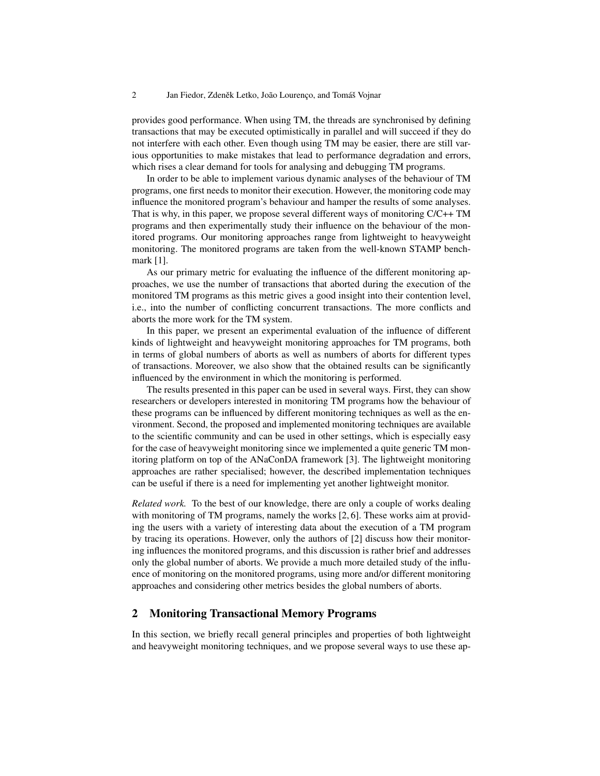provides good performance. When using TM, the threads are synchronised by defining transactions that may be executed optimistically in parallel and will succeed if they do not interfere with each other. Even though using TM may be easier, there are still various opportunities to make mistakes that lead to performance degradation and errors, which rises a clear demand for tools for analysing and debugging TM programs.

In order to be able to implement various dynamic analyses of the behaviour of TM programs, one first needs to monitor their execution. However, the monitoring code may influence the monitored program's behaviour and hamper the results of some analyses. That is why, in this paper, we propose several different ways of monitoring C/C++ TM programs and then experimentally study their influence on the behaviour of the monitored programs. Our monitoring approaches range from lightweight to heavyweight monitoring. The monitored programs are taken from the well-known STAMP benchmark [1].

As our primary metric for evaluating the influence of the different monitoring approaches, we use the number of transactions that aborted during the execution of the monitored TM programs as this metric gives a good insight into their contention level, i.e., into the number of conflicting concurrent transactions. The more conflicts and aborts the more work for the TM system.

In this paper, we present an experimental evaluation of the influence of different kinds of lightweight and heavyweight monitoring approaches for TM programs, both in terms of global numbers of aborts as well as numbers of aborts for different types of transactions. Moreover, we also show that the obtained results can be significantly influenced by the environment in which the monitoring is performed.

The results presented in this paper can be used in several ways. First, they can show researchers or developers interested in monitoring TM programs how the behaviour of these programs can be influenced by different monitoring techniques as well as the environment. Second, the proposed and implemented monitoring techniques are available to the scientific community and can be used in other settings, which is especially easy for the case of heavyweight monitoring since we implemented a quite generic TM monitoring platform on top of the ANaConDA framework [3]. The lightweight monitoring approaches are rather specialised; however, the described implementation techniques can be useful if there is a need for implementing yet another lightweight monitor.

*Related work.* To the best of our knowledge, there are only a couple of works dealing with monitoring of TM programs, namely the works [2, 6]. These works aim at providing the users with a variety of interesting data about the execution of a TM program by tracing its operations. However, only the authors of [2] discuss how their monitoring influences the monitored programs, and this discussion is rather brief and addresses only the global number of aborts. We provide a much more detailed study of the influence of monitoring on the monitored programs, using more and/or different monitoring approaches and considering other metrics besides the global numbers of aborts.

# 2 Monitoring Transactional Memory Programs

In this section, we briefly recall general principles and properties of both lightweight and heavyweight monitoring techniques, and we propose several ways to use these ap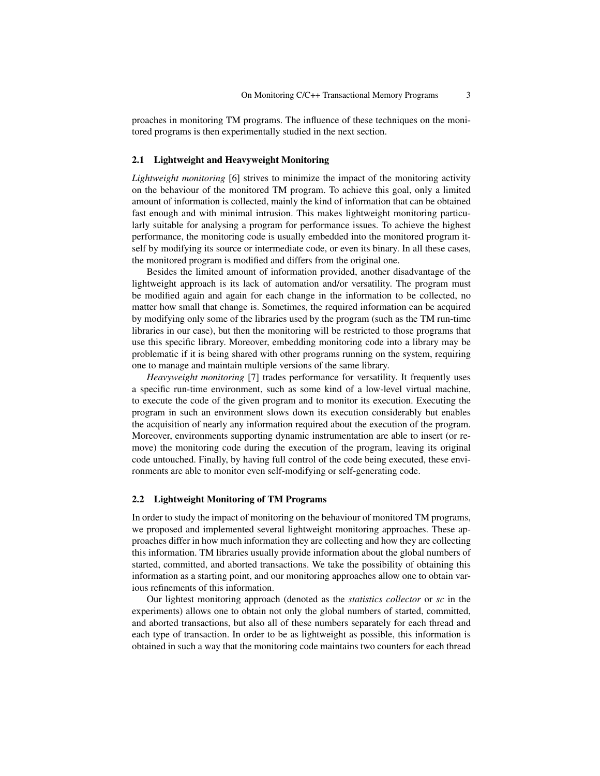proaches in monitoring TM programs. The influence of these techniques on the monitored programs is then experimentally studied in the next section.

#### 2.1 Lightweight and Heavyweight Monitoring

*Lightweight monitoring* [6] strives to minimize the impact of the monitoring activity on the behaviour of the monitored TM program. To achieve this goal, only a limited amount of information is collected, mainly the kind of information that can be obtained fast enough and with minimal intrusion. This makes lightweight monitoring particularly suitable for analysing a program for performance issues. To achieve the highest performance, the monitoring code is usually embedded into the monitored program itself by modifying its source or intermediate code, or even its binary. In all these cases, the monitored program is modified and differs from the original one.

Besides the limited amount of information provided, another disadvantage of the lightweight approach is its lack of automation and/or versatility. The program must be modified again and again for each change in the information to be collected, no matter how small that change is. Sometimes, the required information can be acquired by modifying only some of the libraries used by the program (such as the TM run-time libraries in our case), but then the monitoring will be restricted to those programs that use this specific library. Moreover, embedding monitoring code into a library may be problematic if it is being shared with other programs running on the system, requiring one to manage and maintain multiple versions of the same library.

*Heavyweight monitoring* [7] trades performance for versatility. It frequently uses a specific run-time environment, such as some kind of a low-level virtual machine, to execute the code of the given program and to monitor its execution. Executing the program in such an environment slows down its execution considerably but enables the acquisition of nearly any information required about the execution of the program. Moreover, environments supporting dynamic instrumentation are able to insert (or remove) the monitoring code during the execution of the program, leaving its original code untouched. Finally, by having full control of the code being executed, these environments are able to monitor even self-modifying or self-generating code.

#### 2.2 Lightweight Monitoring of TM Programs

In order to study the impact of monitoring on the behaviour of monitored TM programs, we proposed and implemented several lightweight monitoring approaches. These approaches differ in how much information they are collecting and how they are collecting this information. TM libraries usually provide information about the global numbers of started, committed, and aborted transactions. We take the possibility of obtaining this information as a starting point, and our monitoring approaches allow one to obtain various refinements of this information.

Our lightest monitoring approach (denoted as the *statistics collector* or *sc* in the experiments) allows one to obtain not only the global numbers of started, committed, and aborted transactions, but also all of these numbers separately for each thread and each type of transaction. In order to be as lightweight as possible, this information is obtained in such a way that the monitoring code maintains two counters for each thread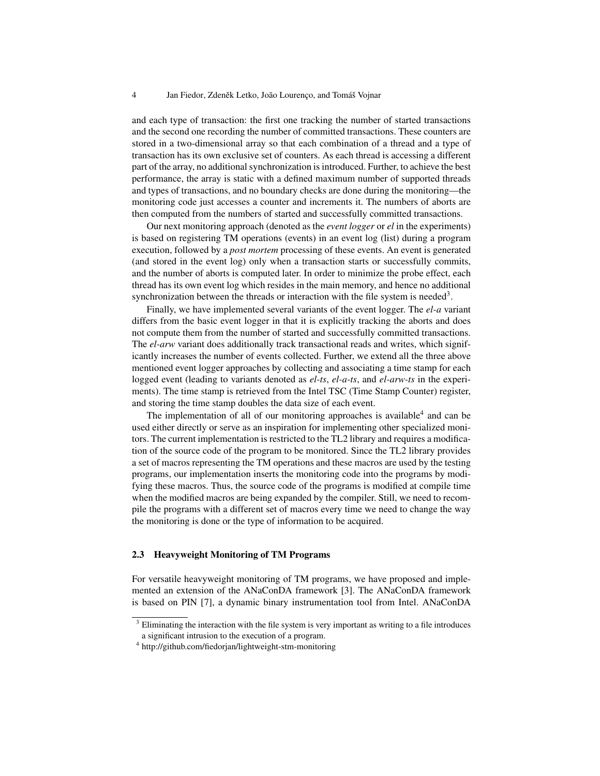and each type of transaction: the first one tracking the number of started transactions and the second one recording the number of committed transactions. These counters are stored in a two-dimensional array so that each combination of a thread and a type of transaction has its own exclusive set of counters. As each thread is accessing a different part of the array, no additional synchronization is introduced. Further, to achieve the best performance, the array is static with a defined maximum number of supported threads and types of transactions, and no boundary checks are done during the monitoring—the monitoring code just accesses a counter and increments it. The numbers of aborts are then computed from the numbers of started and successfully committed transactions.

Our next monitoring approach (denoted as the *event logger* or *el* in the experiments) is based on registering TM operations (events) in an event log (list) during a program execution, followed by a *post mortem* processing of these events. An event is generated (and stored in the event log) only when a transaction starts or successfully commits, and the number of aborts is computed later. In order to minimize the probe effect, each thread has its own event log which resides in the main memory, and hence no additional synchronization between the threads or interaction with the file system is needed<sup>3</sup>.

Finally, we have implemented several variants of the event logger. The *el-a* variant differs from the basic event logger in that it is explicitly tracking the aborts and does not compute them from the number of started and successfully committed transactions. The *el-arw* variant does additionally track transactional reads and writes, which significantly increases the number of events collected. Further, we extend all the three above mentioned event logger approaches by collecting and associating a time stamp for each logged event (leading to variants denoted as *el-ts*, *el-a-ts*, and *el-arw-ts* in the experiments). The time stamp is retrieved from the Intel TSC (Time Stamp Counter) register, and storing the time stamp doubles the data size of each event.

The implementation of all of our monitoring approaches is available<sup>4</sup> and can be used either directly or serve as an inspiration for implementing other specialized monitors. The current implementation is restricted to the TL2 library and requires a modification of the source code of the program to be monitored. Since the TL2 library provides a set of macros representing the TM operations and these macros are used by the testing programs, our implementation inserts the monitoring code into the programs by modifying these macros. Thus, the source code of the programs is modified at compile time when the modified macros are being expanded by the compiler. Still, we need to recompile the programs with a different set of macros every time we need to change the way the monitoring is done or the type of information to be acquired.

## 2.3 Heavyweight Monitoring of TM Programs

For versatile heavyweight monitoring of TM programs, we have proposed and implemented an extension of the ANaConDA framework [3]. The ANaConDA framework is based on PIN [7], a dynamic binary instrumentation tool from Intel. ANaConDA

 $3$  Eliminating the interaction with the file system is very important as writing to a file introduces a significant intrusion to the execution of a program.

<sup>4</sup> http://github.com/fiedorjan/lightweight-stm-monitoring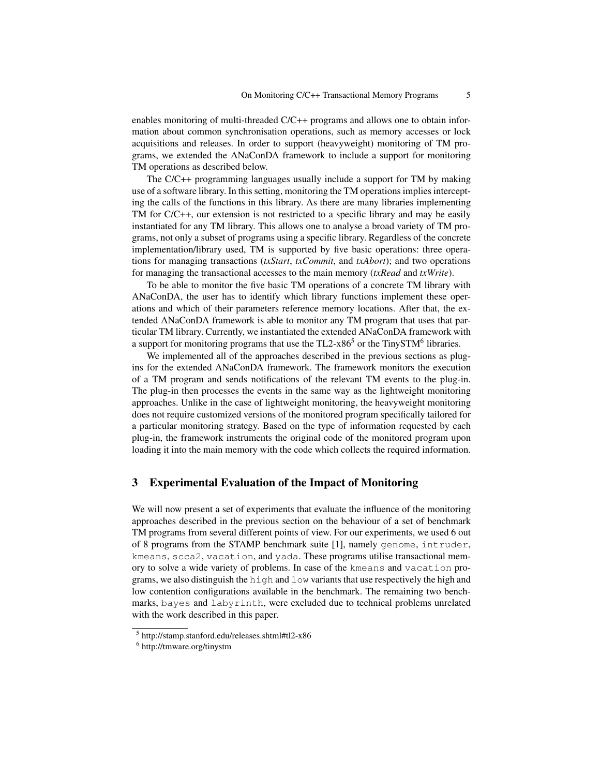enables monitoring of multi-threaded C/C++ programs and allows one to obtain information about common synchronisation operations, such as memory accesses or lock acquisitions and releases. In order to support (heavyweight) monitoring of TM programs, we extended the ANaConDA framework to include a support for monitoring TM operations as described below.

The C/C++ programming languages usually include a support for TM by making use of a software library. In this setting, monitoring the TM operations implies intercepting the calls of the functions in this library. As there are many libraries implementing TM for C/C++, our extension is not restricted to a specific library and may be easily instantiated for any TM library. This allows one to analyse a broad variety of TM programs, not only a subset of programs using a specific library. Regardless of the concrete implementation/library used, TM is supported by five basic operations: three operations for managing transactions (*txStart*, *txCommit*, and *txAbort*); and two operations for managing the transactional accesses to the main memory (*txRead* and *txWrite*).

To be able to monitor the five basic TM operations of a concrete TM library with ANaConDA, the user has to identify which library functions implement these operations and which of their parameters reference memory locations. After that, the extended ANaConDA framework is able to monitor any TM program that uses that particular TM library. Currently, we instantiated the extended ANaConDA framework with a support for monitoring programs that use the TL2-x86<sup>5</sup> or the TinySTM<sup>6</sup> libraries.

We implemented all of the approaches described in the previous sections as plugins for the extended ANaConDA framework. The framework monitors the execution of a TM program and sends notifications of the relevant TM events to the plug-in. The plug-in then processes the events in the same way as the lightweight monitoring approaches. Unlike in the case of lightweight monitoring, the heavyweight monitoring does not require customized versions of the monitored program specifically tailored for a particular monitoring strategy. Based on the type of information requested by each plug-in, the framework instruments the original code of the monitored program upon loading it into the main memory with the code which collects the required information.

# 3 Experimental Evaluation of the Impact of Monitoring

We will now present a set of experiments that evaluate the influence of the monitoring approaches described in the previous section on the behaviour of a set of benchmark TM programs from several different points of view. For our experiments, we used 6 out of 8 programs from the STAMP benchmark suite [1], namely genome, intruder, kmeans, scca2, vacation, and yada. These programs utilise transactional memory to solve a wide variety of problems. In case of the kmeans and vacation programs, we also distinguish the high and  $low$  variants that use respectively the high and low contention configurations available in the benchmark. The remaining two benchmarks, bayes and labyrinth, were excluded due to technical problems unrelated with the work described in this paper.

<sup>5</sup> http://stamp.stanford.edu/releases.shtml#tl2-x86

<sup>6</sup> http://tmware.org/tinystm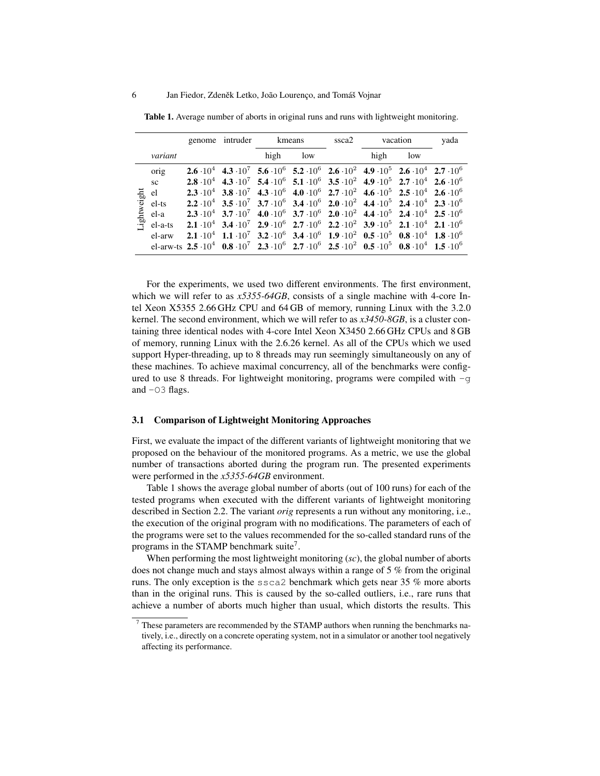|  |                                                              | genome intruder | kmeans |     | ssca2                                                                                                                                                                                           | vacation |     | yada |
|--|--------------------------------------------------------------|-----------------|--------|-----|-------------------------------------------------------------------------------------------------------------------------------------------------------------------------------------------------|----------|-----|------|
|  | variant                                                      |                 | high   | low |                                                                                                                                                                                                 | high     | low |      |
|  | orig                                                         |                 |        |     | 2.6 $\cdot 10^4$ 4.3 $\cdot 10^7$ 5.6 $\cdot 10^6$ 5.2 $\cdot 10^6$ 2.6 $\cdot 10^2$ 4.9 $\cdot 10^5$ 2.6 $\cdot 10^4$ 2.7 $\cdot 10^6$                                                         |          |     |      |
|  | sc                                                           |                 |        |     | <b>2.8</b> $\cdot 10^4$ <b>4.3</b> $\cdot 10^7$ <b>5.4</b> $\cdot 10^6$ <b>5.1</b> $\cdot 10^6$ <b>3.5</b> $\cdot 10^2$ <b>4.9</b> $\cdot 10^5$ <b>2.7</b> $\cdot 10^4$ <b>2.6</b> $\cdot 10^6$ |          |     |      |
|  | $\frac{1}{2}$ el -ts<br>different el -a<br>different el -a - |                 |        |     | 2.3 $\cdot 10^4$ 3.8 $\cdot 10^7$ 4.3 $\cdot 10^6$ 4.0 $\cdot 10^6$ 2.7 $\cdot 10^2$ 4.6 $\cdot 10^5$ 2.5 $\cdot 10^4$ 2.6 $\cdot 10^6$                                                         |          |     |      |
|  |                                                              |                 |        |     | 2.2 $\cdot 10^4$ 3.5 $\cdot 10^7$ 3.7 $\cdot 10^6$ 3.4 $\cdot 10^6$ 2.0 $\cdot 10^2$ 4.4 $\cdot 10^5$ 2.4 $\cdot 10^4$ 2.3 $\cdot 10^6$                                                         |          |     |      |
|  |                                                              |                 |        |     | 2.3 $\cdot 10^4$ 3.7 $\cdot 10^7$ 4.0 $\cdot 10^6$ 3.7 $\cdot 10^6$ 2.0 $\cdot 10^2$ 4.4 $\cdot 10^5$ 2.4 $\cdot 10^4$ 2.5 $\cdot 10^6$                                                         |          |     |      |
|  | el-a-ts                                                      |                 |        |     | 2.1 $\cdot 10^4$ 3.4 $\cdot 10^7$ 2.9 $\cdot 10^6$ 2.7 $\cdot 10^6$ 2.2 $\cdot 10^2$ 3.9 $\cdot 10^5$ 2.1 $\cdot 10^4$ 2.1 $\cdot 10^6$                                                         |          |     |      |
|  | el-arw                                                       |                 |        |     | <b>2.1</b> $\cdot 10^4$ <b>1.1</b> $\cdot 10^7$ <b>3.2</b> $\cdot 10^6$ <b>3.4</b> $\cdot 10^6$ <b>1.9</b> $\cdot 10^2$ <b>0.5</b> $\cdot 10^5$ <b>0.8</b> $\cdot 10^4$ <b>1.8</b> $\cdot 10^6$ |          |     |      |
|  |                                                              |                 |        |     | el-arw-ts 2.5 $\cdot 10^4$ 0.8 $\cdot 10^7$ 2.3 $\cdot 10^6$ 2.7 $\cdot 10^6$ 2.5 $\cdot 10^2$ 0.5 $\cdot 10^5$ 0.8 $\cdot 10^4$ 1.5 $\cdot 10^6$                                               |          |     |      |

Table 1. Average number of aborts in original runs and runs with lightweight monitoring.

For the experiments, we used two different environments. The first environment, which we will refer to as  $x5355-64GB$ , consists of a single machine with 4-core Intel Xeon X5355 2.66 GHz CPU and 64 GB of memory, running Linux with the 3.2.0 kernel. The second environment, which we will refer to as *x3450-8GB*, is a cluster containing three identical nodes with 4-core Intel Xeon X3450 2.66 GHz CPUs and 8 GB of memory, running Linux with the 2.6.26 kernel. As all of the CPUs which we used support Hyper-threading, up to 8 threads may run seemingly simultaneously on any of these machines. To achieve maximal concurrency, all of the benchmarks were configured to use 8 threads. For lightweight monitoring, programs were compiled with  $-q$ and  $-03$  flags.

#### 3.1 Comparison of Lightweight Monitoring Approaches

First, we evaluate the impact of the different variants of lightweight monitoring that we proposed on the behaviour of the monitored programs. As a metric, we use the global number of transactions aborted during the program run. The presented experiments were performed in the *x5355-64GB* environment.

Table 1 shows the average global number of aborts (out of 100 runs) for each of the tested programs when executed with the different variants of lightweight monitoring described in Section 2.2. The variant *orig* represents a run without any monitoring, i.e., the execution of the original program with no modifications. The parameters of each of the programs were set to the values recommended for the so-called standard runs of the programs in the STAMP benchmark suite<sup>7</sup>.

When performing the most lightweight monitoring (*sc*), the global number of aborts does not change much and stays almost always within a range of 5 % from the original runs. The only exception is the ssca2 benchmark which gets near 35 % more aborts than in the original runs. This is caused by the so-called outliers, i.e., rare runs that achieve a number of aborts much higher than usual, which distorts the results. This

 $7$  These parameters are recommended by the STAMP authors when running the benchmarks natively, i.e., directly on a concrete operating system, not in a simulator or another tool negatively affecting its performance.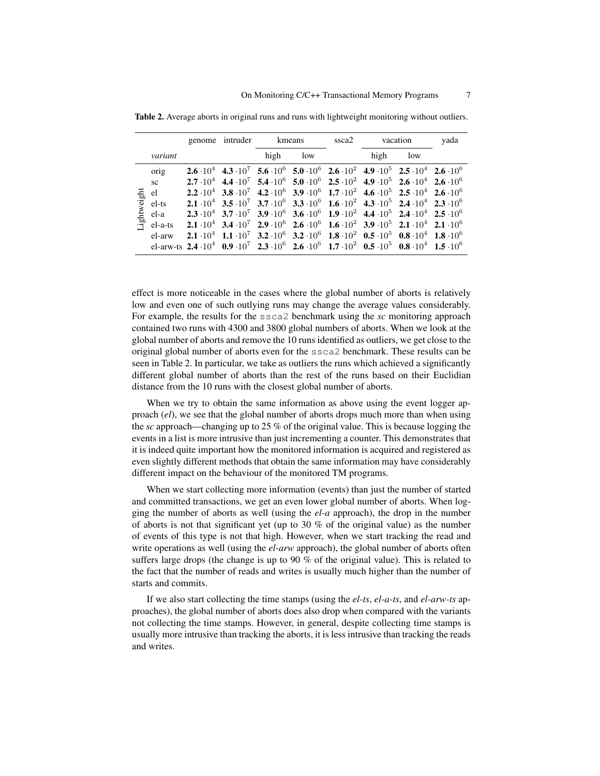|                                                                       | genome intruder | kmeans |     | ssca2 | vacation |                                                                                                                                                                                                 | yada |
|-----------------------------------------------------------------------|-----------------|--------|-----|-------|----------|-------------------------------------------------------------------------------------------------------------------------------------------------------------------------------------------------|------|
| variant                                                               |                 | high   | low |       | high     | low                                                                                                                                                                                             |      |
| orig                                                                  |                 |        |     |       |          | 2.6 $\cdot 10^4$ 4.3 $\cdot 10^7$ 5.6 $\cdot 10^6$ 5.0 $\cdot 10^6$ 2.6 $\cdot 10^2$ 4.9 $\cdot 10^5$ 2.5 $\cdot 10^4$ 2.6 $\cdot 10^6$                                                         |      |
| <b>SC</b>                                                             |                 |        |     |       |          | 2.7 $\cdot 10^4$ 4.4 $\cdot 10^7$ 5.4 $\cdot 10^6$ 5.0 $\cdot 10^6$ 2.5 $\cdot 10^2$ 4.9 $\cdot 10^5$ 2.6 $\cdot 10^4$ 2.6 $\cdot 10^6$                                                         |      |
| $\frac{1}{2}$ el -ts<br>$\frac{1}{2}$ el -a<br>$\frac{1}{2}$ el -a -1 |                 |        |     |       |          | 2.2 $\cdot 10^4$ 3.8 $\cdot 10^7$ 4.2 $\cdot 10^6$ 3.9 $\cdot 10^6$ 1.7 $\cdot 10^2$ 4.6 $\cdot 10^5$ 2.5 $\cdot 10^4$ 2.6 $\cdot 10^6$                                                         |      |
|                                                                       |                 |        |     |       |          | <b>2.1</b> $\cdot 10^4$ <b>3.5</b> $\cdot 10^7$ <b>3.7</b> $\cdot 10^6$ <b>3.3</b> $\cdot 10^6$ <b>1.6</b> $\cdot 10^2$ <b>4.3</b> $\cdot 10^5$ <b>2.4</b> $\cdot 10^4$ <b>2.3</b> $\cdot 10^6$ |      |
|                                                                       |                 |        |     |       |          | 2.3 $\cdot 10^4$ 3.7 $\cdot 10^7$ 3.9 $\cdot 10^6$ 3.6 $\cdot 10^6$ 1.9 $\cdot 10^2$ 4.4 $\cdot 10^5$ 2.4 $\cdot 10^4$ 2.5 $\cdot 10^6$                                                         |      |
| el-a-ts                                                               |                 |        |     |       |          | <b>2.1</b> $\cdot 10^4$ <b>3.4</b> $\cdot 10^7$ <b>2.9</b> $\cdot 10^6$ <b>2.6</b> $\cdot 10^6$ <b>1.6</b> $\cdot 10^2$ <b>3.9</b> $\cdot 10^5$ <b>2.1</b> $\cdot 10^4$ <b>2.1</b> $\cdot 10^6$ |      |
| el-arw                                                                |                 |        |     |       |          | <b>2.1</b> $\cdot 10^4$ <b>1.1</b> $\cdot 10^7$ <b>3.2</b> $\cdot 10^6$ <b>3.2</b> $\cdot 10^6$ <b>1.8</b> $\cdot 10^2$ <b>0.5</b> $\cdot 10^5$ <b>0.8</b> $\cdot 10^4$ <b>1.8</b> $\cdot 10^6$ |      |
|                                                                       |                 |        |     |       |          | el-arw-ts $2.4 \cdot 10^4$ 0.9 $\cdot 10^7$ 2.3 $\cdot 10^6$ 2.6 $\cdot 10^6$ 1.7 $\cdot 10^2$ 0.5 $\cdot 10^5$ 0.8 $\cdot 10^4$ 1.5 $\cdot 10^6$                                               |      |

Table 2. Average aborts in original runs and runs with lightweight monitoring without outliers.

effect is more noticeable in the cases where the global number of aborts is relatively low and even one of such outlying runs may change the average values considerably. For example, the results for the ssca2 benchmark using the *sc* monitoring approach contained two runs with 4300 and 3800 global numbers of aborts. When we look at the global number of aborts and remove the 10 runs identified as outliers, we get close to the original global number of aborts even for the ssca2 benchmark. These results can be seen in Table 2. In particular, we take as outliers the runs which achieved a significantly different global number of aborts than the rest of the runs based on their Euclidian distance from the 10 runs with the closest global number of aborts.

When we try to obtain the same information as above using the event logger approach (*el*), we see that the global number of aborts drops much more than when using the *sc* approach—changing up to 25 % of the original value. This is because logging the events in a list is more intrusive than just incrementing a counter. This demonstrates that it is indeed quite important how the monitored information is acquired and registered as even slightly different methods that obtain the same information may have considerably different impact on the behaviour of the monitored TM programs.

When we start collecting more information (events) than just the number of started and committed transactions, we get an even lower global number of aborts. When logging the number of aborts as well (using the *el-a* approach), the drop in the number of aborts is not that significant yet (up to 30  $\%$  of the original value) as the number of events of this type is not that high. However, when we start tracking the read and write operations as well (using the *el-arw* approach), the global number of aborts often suffers large drops (the change is up to 90 % of the original value). This is related to the fact that the number of reads and writes is usually much higher than the number of starts and commits.

If we also start collecting the time stamps (using the *el-ts*, *el-a-ts*, and *el-arw-ts* approaches), the global number of aborts does also drop when compared with the variants not collecting the time stamps. However, in general, despite collecting time stamps is usually more intrusive than tracking the aborts, it is less intrusive than tracking the reads and writes.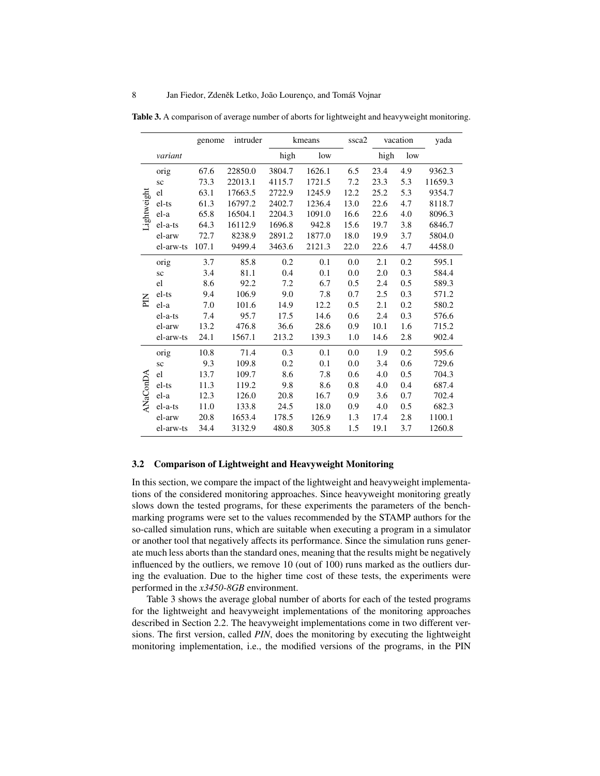|             |           | genome | intruder | kmeans |        | ssca2 | vacation |     | yada    |
|-------------|-----------|--------|----------|--------|--------|-------|----------|-----|---------|
|             | variant   |        |          | high   | low    |       | high     | low |         |
|             | orig      | 67.6   | 22850.0  | 3804.7 | 1626.1 | 6.5   | 23.4     | 4.9 | 9362.3  |
|             | sc        | 73.3   | 22013.1  | 4115.7 | 1721.5 | 7.2   | 23.3     | 5.3 | 11659.3 |
|             | el        | 63.1   | 17663.5  | 2722.9 | 1245.9 | 12.2  | 25.2     | 5.3 | 9354.7  |
| Lightweight | el-ts     | 61.3   | 16797.2  | 2402.7 | 1236.4 | 13.0  | 22.6     | 4.7 | 8118.7  |
|             | el-a      | 65.8   | 16504.1  | 2204.3 | 1091.0 | 16.6  | 22.6     | 4.0 | 8096.3  |
|             | el-a-ts   | 64.3   | 16112.9  | 1696.8 | 942.8  | 15.6  | 19.7     | 3.8 | 6846.7  |
|             | el-arw    | 72.7   | 8238.9   | 2891.2 | 1877.0 | 18.0  | 19.9     | 3.7 | 5804.0  |
|             | el-arw-ts | 107.1  | 9499.4   | 3463.6 | 2121.3 | 22.0  | 22.6     | 4.7 | 4458.0  |
|             | orig      | 3.7    | 85.8     | 0.2    | 0.1    | 0.0   | 2.1      | 0.2 | 595.1   |
|             | sc        | 3.4    | 81.1     | 0.4    | 0.1    | 0.0   | 2.0      | 0.3 | 584.4   |
|             | el        | 8.6    | 92.2     | 7.2    | 6.7    | 0.5   | 2.4      | 0.5 | 589.3   |
|             | el-ts     | 9.4    | 106.9    | 9.0    | 7.8    | 0.7   | 2.5      | 0.3 | 571.2   |
| EN          | el-a      | 7.0    | 101.6    | 14.9   | 12.2   | 0.5   | 2.1      | 0.2 | 580.2   |
|             | el-a-ts   | 7.4    | 95.7     | 17.5   | 14.6   | 0.6   | 2.4      | 0.3 | 576.6   |
|             | el-arw    | 13.2   | 476.8    | 36.6   | 28.6   | 0.9   | 10.1     | 1.6 | 715.2   |
|             | el-arw-ts | 24.1   | 1567.1   | 213.2  | 139.3  | 1.0   | 14.6     | 2.8 | 902.4   |
|             | orig      | 10.8   | 71.4     | 0.3    | 0.1    | 0.0   | 1.9      | 0.2 | 595.6   |
|             | sc        | 9.3    | 109.8    | 0.2    | 0.1    | 0.0   | 3.4      | 0.6 | 729.6   |
|             | el        | 13.7   | 109.7    | 8.6    | 7.8    | 0.6   | 4.0      | 0.5 | 704.3   |
|             | el-ts     | 11.3   | 119.2    | 9.8    | 8.6    | 0.8   | 4.0      | 0.4 | 687.4   |
| ANaConDA    | el-a      | 12.3   | 126.0    | 20.8   | 16.7   | 0.9   | 3.6      | 0.7 | 702.4   |
|             | el-a-ts   | 11.0   | 133.8    | 24.5   | 18.0   | 0.9   | 4.0      | 0.5 | 682.3   |
|             | el-arw    | 20.8   | 1653.4   | 178.5  | 126.9  | 1.3   | 17.4     | 2.8 | 1100.1  |
|             | el-arw-ts | 34.4   | 3132.9   | 480.8  | 305.8  | 1.5   | 19.1     | 3.7 | 1260.8  |

Table 3. A comparison of average number of aborts for lightweight and heavyweight monitoring.

## 3.2 Comparison of Lightweight and Heavyweight Monitoring

In this section, we compare the impact of the lightweight and heavyweight implementations of the considered monitoring approaches. Since heavyweight monitoring greatly slows down the tested programs, for these experiments the parameters of the benchmarking programs were set to the values recommended by the STAMP authors for the so-called simulation runs, which are suitable when executing a program in a simulator or another tool that negatively affects its performance. Since the simulation runs generate much less aborts than the standard ones, meaning that the results might be negatively influenced by the outliers, we remove 10 (out of 100) runs marked as the outliers during the evaluation. Due to the higher time cost of these tests, the experiments were performed in the *x3450-8GB* environment.

Table 3 shows the average global number of aborts for each of the tested programs for the lightweight and heavyweight implementations of the monitoring approaches described in Section 2.2. The heavyweight implementations come in two different versions. The first version, called *PIN*, does the monitoring by executing the lightweight monitoring implementation, i.e., the modified versions of the programs, in the PIN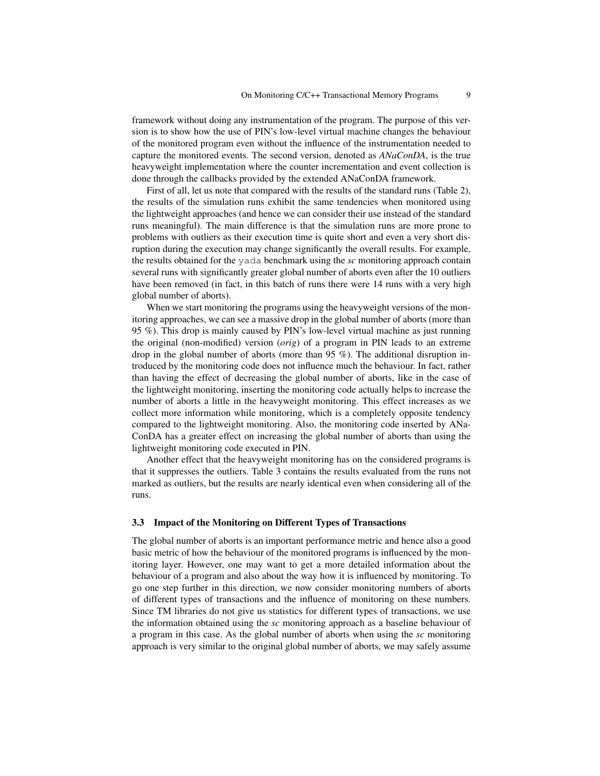framework without doing any instrumentation of the program. The purpose of this version is to show how the use of PIN's low-level virtual machine changes the behaviour of the monitored program even without the influence of the instrumentation needed to capture the monitored events. The second version, denoted as *ANaConDA*, is the true heavyweight implementation where the counter incrementation and event collection is done through the callbacks provided by the extended ANaConDA framework.

First of all, let us note that compared with the results of the standard runs (Table 2), the results of the simulation runs exhibit the same tendencies when monitored using the lightweight approaches (and hence we can consider their use instead of the standard runs meaningful). The main difference is that the simulation runs are more prone to problems with outliers as their execution time is quite short and even a very short disruption during the execution may change significantly the overall results. For example, the results obtained for the yada benchmark using the *sc* monitoring approach contain several runs with significantly greater global number of aborts even after the 10 outliers have been removed (in fact, in this batch of runs there were 14 runs with a very high global number of aborts).

When we start monitoring the programs using the heavyweight versions of the monitoring approaches, we can see a massive drop in the global number of aborts (more than 95 %). This drop is mainly caused by PIN's low-level virtual machine as just running the original (non-modified) version (*orig*) of a program in PIN leads to an extreme drop in the global number of aborts (more than 95 %). The additional disruption introduced by the monitoring code does not influence much the behaviour. In fact, rather than having the effect of decreasing the global number of aborts, like in the case of the lightweight monitoring, inserting the monitoring code actually helps to increase the number of aborts a little in the heavyweight monitoring. This effect increases as we collect more information while monitoring, which is a completely opposite tendency compared to the lightweight monitoring. Also, the monitoring code inserted by ANa-ConDA has a greater effect on increasing the global number of aborts than using the lightweight monitoring code executed in PIN.

Another effect that the heavyweight monitoring has on the considered programs is that it suppresses the outliers. Table 3 contains the results evaluated from the runs not marked as outliers, but the results are nearly identical even when considering all of the runs.

#### 3.3 Impact of the Monitoring on Different Types of Transactions

The global number of aborts is an important performance metric and hence also a good basic metric of how the behaviour of the monitored programs is influenced by the monitoring layer. However, one may want to get a more detailed information about the behaviour of a program and also about the way how it is influenced by monitoring. To go one step further in this direction, we now consider monitoring numbers of aborts of different types of transactions and the influence of monitoring on these numbers. Since TM libraries do not give us statistics for different types of transactions, we use the information obtained using the *sc* monitoring approach as a baseline behaviour of a program in this case. As the global number of aborts when using the *sc* monitoring approach is very similar to the original global number of aborts, we may safely assume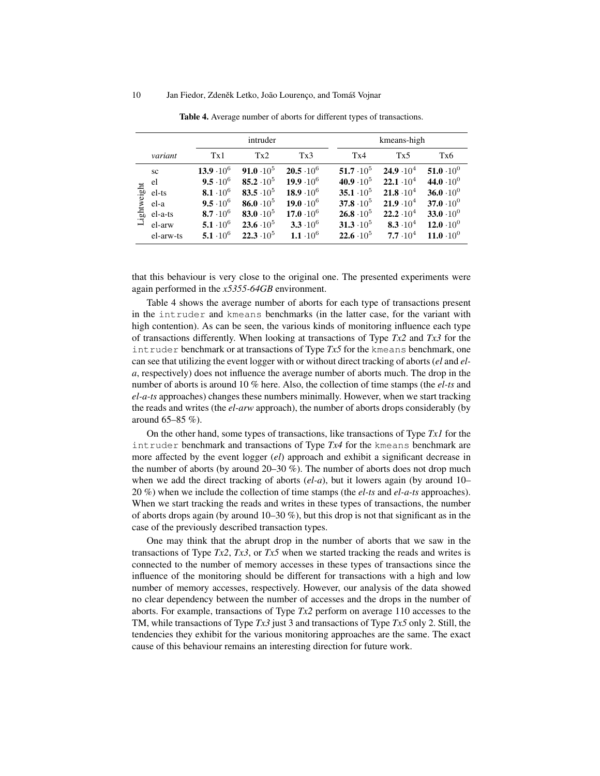|             |                                                |                                                                                                                         | intruder                                                                                                                   |                                                                                                                           | kmeans-high                                                                                                                           |                                                                                                                               |                                                                                                                                        |  |  |
|-------------|------------------------------------------------|-------------------------------------------------------------------------------------------------------------------------|----------------------------------------------------------------------------------------------------------------------------|---------------------------------------------------------------------------------------------------------------------------|---------------------------------------------------------------------------------------------------------------------------------------|-------------------------------------------------------------------------------------------------------------------------------|----------------------------------------------------------------------------------------------------------------------------------------|--|--|
|             | variant                                        | Tx1                                                                                                                     | Tx2                                                                                                                        | Tx3                                                                                                                       | Tx4                                                                                                                                   | Tx5                                                                                                                           | Tx6                                                                                                                                    |  |  |
| Lightweight | sc<br>el<br>el-ts<br>el-a<br>el-a-ts<br>el-arw | 13.9 $\cdot 10^6$<br>$9.5 \cdot 10^{6}$<br>8.1 $\cdot 10^6$<br>$9.5 \cdot 10^6$<br>$8.7 \cdot 10^6$<br>5.1 $\cdot 10^6$ | 91.0 $\cdot 10^5$<br>85.2 $\cdot 10^5$<br>83.5 $\cdot 10^5$<br>86.0 $\cdot 10^5$<br>83.0 $\cdot 10^5$<br>$23.6 \cdot 10^5$ | $20.5 \cdot 10^6$<br>19.9 $\cdot 10^6$<br>18.9 $\cdot 10^6$<br>19.0 $\cdot 10^6$<br>17.0 $\cdot 10^6$<br>3.3 $\cdot 10^6$ | 51.7 $\cdot$ 10 <sup>5</sup><br>40.9 $\cdot 10^5$<br>35.1 $\cdot 10^5$<br>37.8 $\cdot 10^5$<br>$26.8 \cdot 10^5$<br>31.3 $\cdot 10^5$ | 24.9 $\cdot 10^4$<br>22.1 $\cdot 10^4$<br>$21.8 \cdot 10^4$<br>$21.9 \cdot 10^{4}$<br>$22.2 \cdot 10^{4}$<br>8.3 $\cdot 10^4$ | 51.0 $\cdot 10^{0}$<br>44.0 $\cdot 10^{0}$<br>36.0 $\cdot 10^{0}$<br>37.0 $\cdot 10^{0}$<br>33.0 $\cdot 10^{0}$<br>12.0 $\cdot 10^{0}$ |  |  |
|             | el-arw-ts                                      | 5.1 $\cdot 10^6$                                                                                                        | $22.3 \cdot 10^5$                                                                                                          | 1.1 $\cdot 10^6$                                                                                                          | $22.6 \cdot 10^5$                                                                                                                     | $7.7 \cdot 10^{4}$                                                                                                            | 11.0 $\cdot 10^{0}$                                                                                                                    |  |  |

Table 4. Average number of aborts for different types of transactions.

that this behaviour is very close to the original one. The presented experiments were again performed in the *x5355-64GB* environment.

Table 4 shows the average number of aborts for each type of transactions present in the intruder and kmeans benchmarks (in the latter case, for the variant with high contention). As can be seen, the various kinds of monitoring influence each type of transactions differently. When looking at transactions of Type *Tx2* and *Tx3* for the intruder benchmark or at transactions of Type *Tx5* for the kmeans benchmark, one can see that utilizing the event logger with or without direct tracking of aborts (*el* and *ela*, respectively) does not influence the average number of aborts much. The drop in the number of aborts is around 10 % here. Also, the collection of time stamps (the *el-ts* and *el-a-ts* approaches) changes these numbers minimally. However, when we start tracking the reads and writes (the *el-arw* approach), the number of aborts drops considerably (by around 65–85 %).

On the other hand, some types of transactions, like transactions of Type *Tx1* for the intruder benchmark and transactions of Type *Tx4* for the kmeans benchmark are more affected by the event logger (*el*) approach and exhibit a significant decrease in the number of aborts (by around 20–30 %). The number of aborts does not drop much when we add the direct tracking of aborts (el-a), but it lowers again (by around 10– 20 %) when we include the collection of time stamps (the *el-ts* and *el-a-ts* approaches). When we start tracking the reads and writes in these types of transactions, the number of aborts drops again (by around 10–30 %), but this drop is not that significant as in the case of the previously described transaction types.

One may think that the abrupt drop in the number of aborts that we saw in the transactions of Type *Tx2*, *Tx3*, or *Tx5* when we started tracking the reads and writes is connected to the number of memory accesses in these types of transactions since the influence of the monitoring should be different for transactions with a high and low number of memory accesses, respectively. However, our analysis of the data showed no clear dependency between the number of accesses and the drops in the number of aborts. For example, transactions of Type *Tx2* perform on average 110 accesses to the TM, while transactions of Type *Tx3* just 3 and transactions of Type *Tx5* only 2. Still, the tendencies they exhibit for the various monitoring approaches are the same. The exact cause of this behaviour remains an interesting direction for future work.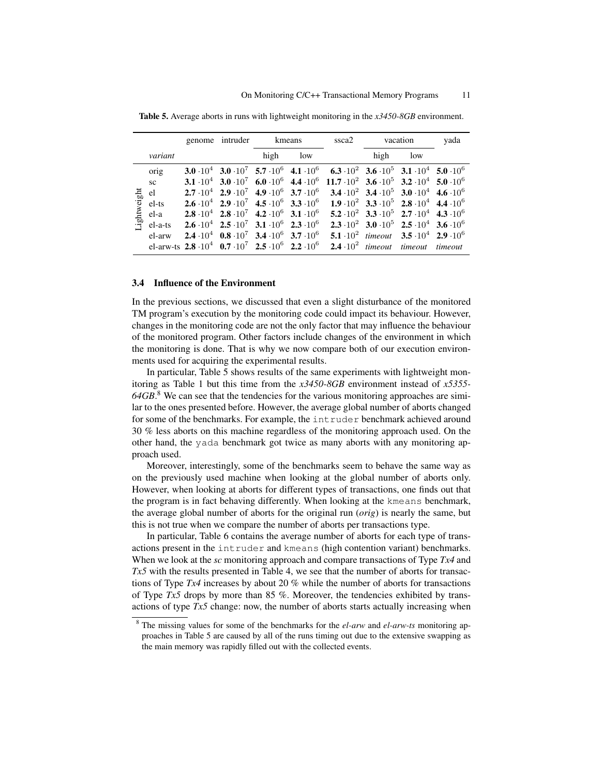|                                                                                                                                 |         | genome intruder | kmeans                                                                        |     | ssca2                                                                                                                                                                                           | vacation |                                                                     | yada |
|---------------------------------------------------------------------------------------------------------------------------------|---------|-----------------|-------------------------------------------------------------------------------|-----|-------------------------------------------------------------------------------------------------------------------------------------------------------------------------------------------------|----------|---------------------------------------------------------------------|------|
|                                                                                                                                 | variant |                 | high                                                                          | low |                                                                                                                                                                                                 | high     | low                                                                 |      |
|                                                                                                                                 | orig    |                 |                                                                               |     | <b>3.0</b> $\cdot 10^4$ <b>3.0</b> $\cdot 10^7$ <b>5.7</b> $\cdot 10^6$ <b>4.1</b> $\cdot 10^6$ <b>6.3</b> $\cdot 10^2$ <b>3.6</b> $\cdot 10^5$ <b>3.1</b> $\cdot 10^4$ <b>5.0</b> $\cdot 10^6$ |          |                                                                     |      |
|                                                                                                                                 | sc      |                 |                                                                               |     | 3.1 $\cdot 10^4$ 3.0 $\cdot 10^7$ 6.0 $\cdot 10^6$ 4.4 $\cdot 10^6$ 11.7 $\cdot 10^2$ 3.6 $\cdot 10^5$ 3.2 $\cdot 10^4$ 5.0 $\cdot 10^6$                                                        |          |                                                                     |      |
| ${\small \begin{array}{c} \text{Lightweight} \\ \text{e} \text{ } \text{e} \text{ } \text{ } \\ \text{d} \text{ } \end{array}}$ |         |                 |                                                                               |     | <b>2.7</b> $\cdot 10^4$ <b>2.9</b> $\cdot 10^7$ <b>4.9</b> $\cdot 10^6$ <b>3.7</b> $\cdot 10^6$ <b>3.4</b> $\cdot 10^2$ <b>3.4</b> $\cdot 10^5$ <b>3.0</b> $\cdot 10^4$ <b>4.6</b> $\cdot 10^6$ |          |                                                                     |      |
|                                                                                                                                 | el-ts   |                 |                                                                               |     | <b>2.6</b> $\cdot 10^4$ <b>2.9</b> $\cdot 10^7$ <b>4.5</b> $\cdot 10^6$ <b>3.3</b> $\cdot 10^6$ <b>1.9</b> $\cdot 10^2$ <b>3.3</b> $\cdot 10^5$ <b>2.8</b> $\cdot 10^4$ <b>4.4</b> $\cdot 10^6$ |          |                                                                     |      |
|                                                                                                                                 | el-a    |                 | 2.8 $\cdot 10^4$ 2.8 $\cdot 10^7$ 4.2 $\cdot 10^6$ 3.1 $\cdot 10^6$           |     |                                                                                                                                                                                                 |          | 5.2 $\cdot 10^2$ 3.3 $\cdot 10^5$ 2.7 $\cdot 10^4$ 4.3 $\cdot 10^6$ |      |
|                                                                                                                                 | el-a-ts |                 | 2.6 $\cdot 10^4$ 2.5 $\cdot 10^7$ 3.1 $\cdot 10^6$ 2.3 $\cdot 10^6$           |     |                                                                                                                                                                                                 |          | 2.3 $\cdot 10^2$ 3.0 $\cdot 10^5$ 2.5 $\cdot 10^4$ 3.6 $\cdot 10^6$ |      |
|                                                                                                                                 | el-arw  |                 | 2.4 $\cdot 10^4$ 0.8 $\cdot 10^7$ 3.4 $\cdot 10^6$ 3.7 $\cdot 10^6$           |     |                                                                                                                                                                                                 |          | 5.1 $\cdot 10^2$ timeout 3.5 $\cdot 10^4$ 2.9 $\cdot 10^6$          |      |
|                                                                                                                                 |         |                 | el-arw-ts $2.8 \cdot 10^4$ 0.7 $\cdot 10^7$ 2.5 $\cdot 10^6$ 2.2 $\cdot 10^6$ |     |                                                                                                                                                                                                 |          | $2.4 \cdot 10^2$ timeout timeout timeout                            |      |

Table 5. Average aborts in runs with lightweight monitoring in the *x3450-8GB* environment.

## 3.4 Influence of the Environment

In the previous sections, we discussed that even a slight disturbance of the monitored TM program's execution by the monitoring code could impact its behaviour. However, changes in the monitoring code are not the only factor that may influence the behaviour of the monitored program. Other factors include changes of the environment in which the monitoring is done. That is why we now compare both of our execution environments used for acquiring the experimental results.

In particular, Table 5 shows results of the same experiments with lightweight monitoring as Table 1 but this time from the *x3450-8GB* environment instead of *x5355-* 64GB.<sup>8</sup> We can see that the tendencies for the various monitoring approaches are similar to the ones presented before. However, the average global number of aborts changed for some of the benchmarks. For example, the intruder benchmark achieved around 30 % less aborts on this machine regardless of the monitoring approach used. On the other hand, the yada benchmark got twice as many aborts with any monitoring approach used.

Moreover, interestingly, some of the benchmarks seem to behave the same way as on the previously used machine when looking at the global number of aborts only. However, when looking at aborts for different types of transactions, one finds out that the program is in fact behaving differently. When looking at the kmeans benchmark, the average global number of aborts for the original run (*orig*) is nearly the same, but this is not true when we compare the number of aborts per transactions type.

In particular, Table 6 contains the average number of aborts for each type of transactions present in the intruder and kmeans (high contention variant) benchmarks. When we look at the *sc* monitoring approach and compare transactions of Type *Tx4* and *Tx5* with the results presented in Table 4, we see that the number of aborts for transactions of Type *Tx4* increases by about 20 % while the number of aborts for transactions of Type *Tx5* drops by more than 85 %. Moreover, the tendencies exhibited by transactions of type  $Tx5$  change: now, the number of aborts starts actually increasing when

<sup>8</sup> The missing values for some of the benchmarks for the *el-arw* and *el-arw-ts* monitoring approaches in Table 5 are caused by all of the runs timing out due to the extensive swapping as the main memory was rapidly filled out with the collected events.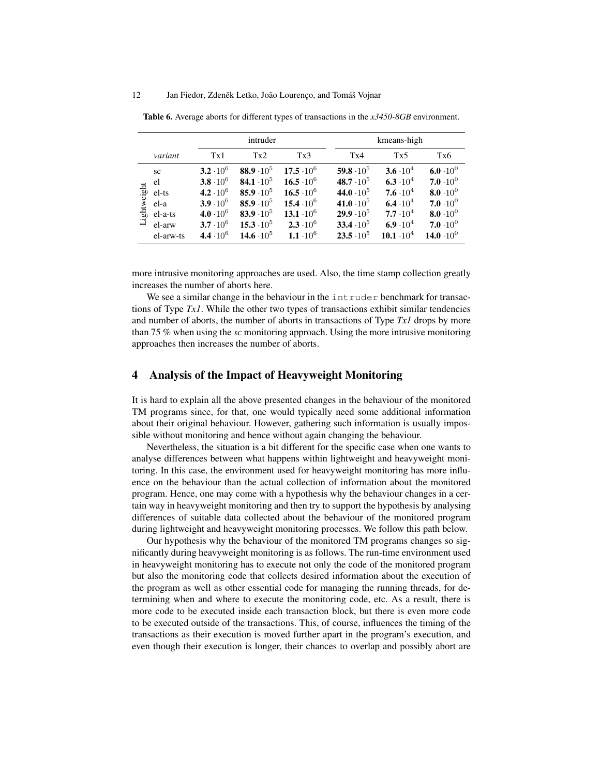|             |           |                  | intruder          |                     | kmeans-high       |                              |                     |  |  |
|-------------|-----------|------------------|-------------------|---------------------|-------------------|------------------------------|---------------------|--|--|
|             | variant   | Tx1              | Tx2               | Tx3                 | Tx4               | Tx5                          | Tx6                 |  |  |
|             | sc        | 3.2 $\cdot 10^6$ | 88.9 $\cdot 10^5$ | 17.5 $\cdot 10^6$   | 59.8 $\cdot 10^5$ | 3.6 $\cdot 10^4$             | 6.0 $\cdot 10^{0}$  |  |  |
|             | el        | 3.8 $\cdot 10^6$ | 84.1 $\cdot 10^5$ | $16.5 \cdot 10^{6}$ | 48.7 $\cdot 10^5$ | $6.3 \cdot 10^{4}$           | $7.0 \cdot 10^{0}$  |  |  |
| Lightweight | el-ts     | 4.2 $\cdot 10^6$ | 85.9 $\cdot 10^5$ | $16.5 \cdot 10^{6}$ | 44.0 $\cdot 10^5$ | 7.6 $\cdot 10^4$             | $8.0 \cdot 10^{0}$  |  |  |
|             | el-a      | 3.9 $\cdot 10^6$ | 85.9 $\cdot 10^5$ | $15.4 \cdot 10^{6}$ | 41.0 $\cdot 10^5$ | 6.4 $\cdot 10^{4}$           | $7.0 \cdot 10^{0}$  |  |  |
|             | el-a-ts   | 4.0 $\cdot 10^6$ | 83.9 $\cdot 10^5$ | 13.1 $\cdot 10^6$   | 29.9 $\cdot 10^5$ | $7.7 \cdot 10^{4}$           | 8.0 $\cdot 10^{0}$  |  |  |
|             | el-arw    | $3.7 \cdot 10^6$ | 15.3 $\cdot 10^5$ | $2.3 \cdot 10^6$    | 33.4 $\cdot 10^5$ | 6.9 $\cdot 10^4$             | $7.0 \cdot 10^{0}$  |  |  |
|             | el-arw-ts | 4.4 $\cdot 10^6$ | 14.6 $\cdot 10^5$ | 1.1 $\cdot 10^6$    | $23.5 \cdot 10^5$ | 10.1 $\cdot$ 10 <sup>4</sup> | 14.0 $\cdot 10^{0}$ |  |  |

Table 6. Average aborts for different types of transactions in the *x3450-8GB* environment.

more intrusive monitoring approaches are used. Also, the time stamp collection greatly increases the number of aborts here.

We see a similar change in the behaviour in the intruder benchmark for transactions of Type *Tx1*. While the other two types of transactions exhibit similar tendencies and number of aborts, the number of aborts in transactions of Type *Tx1* drops by more than 75 % when using the *sc* monitoring approach. Using the more intrusive monitoring approaches then increases the number of aborts.

# 4 Analysis of the Impact of Heavyweight Monitoring

It is hard to explain all the above presented changes in the behaviour of the monitored TM programs since, for that, one would typically need some additional information about their original behaviour. However, gathering such information is usually impossible without monitoring and hence without again changing the behaviour.

Nevertheless, the situation is a bit different for the specific case when one wants to analyse differences between what happens within lightweight and heavyweight monitoring. In this case, the environment used for heavyweight monitoring has more influence on the behaviour than the actual collection of information about the monitored program. Hence, one may come with a hypothesis why the behaviour changes in a certain way in heavyweight monitoring and then try to support the hypothesis by analysing differences of suitable data collected about the behaviour of the monitored program during lightweight and heavyweight monitoring processes. We follow this path below.

Our hypothesis why the behaviour of the monitored TM programs changes so significantly during heavyweight monitoring is as follows. The run-time environment used in heavyweight monitoring has to execute not only the code of the monitored program but also the monitoring code that collects desired information about the execution of the program as well as other essential code for managing the running threads, for determining when and where to execute the monitoring code, etc. As a result, there is more code to be executed inside each transaction block, but there is even more code to be executed outside of the transactions. This, of course, influences the timing of the transactions as their execution is moved further apart in the program's execution, and even though their execution is longer, their chances to overlap and possibly abort are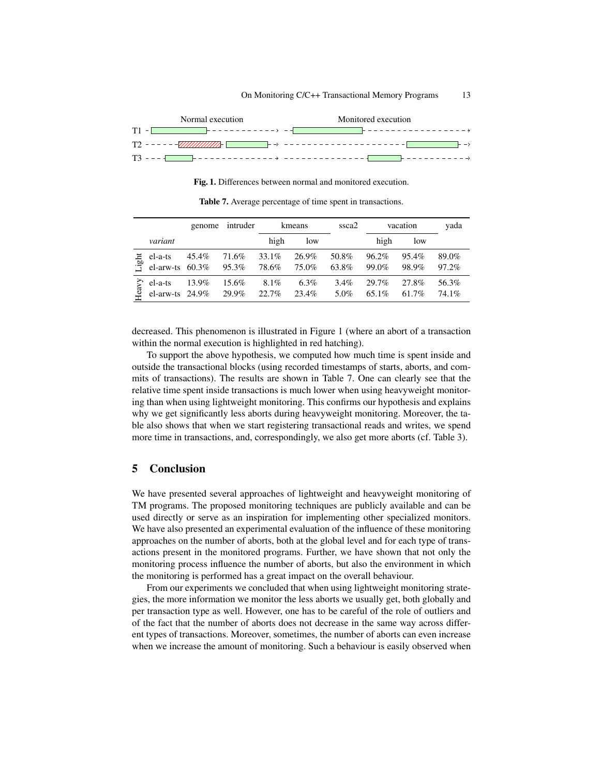| Normal execution          | Monitored execution |  |  |  |  |  |
|---------------------------|---------------------|--|--|--|--|--|
| TT1                       |                     |  |  |  |  |  |
| $T2 - - - - 277777$       | ------------------- |  |  |  |  |  |
| $T3 - - -$<br>1. <b>.</b> | .                   |  |  |  |  |  |

Fig. 1. Differences between normal and monitored execution.

|              |                                     |       | genome intruder | kmeans         |                  | ssca <sub>2</sub> | vacation          |                | yada           |
|--------------|-------------------------------------|-------|-----------------|----------------|------------------|-------------------|-------------------|----------------|----------------|
|              | variant                             |       |                 | high           | low              |                   | high              | low            |                |
| <b>Light</b> | el-a-ts<br>el-arw-ts $60.3\%$       | 45.4% | 71.6%<br>95.3%  | 33.1%<br>78.6% | 26.9%<br>75.0%   | 50.8%<br>63.8%    | 96.2%<br>99.0%    | 95.4%<br>98.9% | 89.0%<br>97.2% |
| Hea          | $\ge$ el-a-ts<br>el-arw-ts $24.9\%$ | 13.9% | 15.6%<br>29.9%  | 8.1%<br>22.7%  | $6.3\%$<br>23.4% | $3.4\%$<br>5.0%   | 29.7%<br>$65.1\%$ | 27.8%<br>61.7% | 56.3%<br>74.1% |

Table 7. Average percentage of time spent in transactions.

decreased. This phenomenon is illustrated in Figure 1 (where an abort of a transaction within the normal execution is highlighted in red hatching).

To support the above hypothesis, we computed how much time is spent inside and outside the transactional blocks (using recorded timestamps of starts, aborts, and commits of transactions). The results are shown in Table 7. One can clearly see that the relative time spent inside transactions is much lower when using heavyweight monitoring than when using lightweight monitoring. This confirms our hypothesis and explains why we get significantly less aborts during heavyweight monitoring. Moreover, the table also shows that when we start registering transactional reads and writes, we spend more time in transactions, and, correspondingly, we also get more aborts (cf. Table 3).

# 5 Conclusion

We have presented several approaches of lightweight and heavyweight monitoring of TM programs. The proposed monitoring techniques are publicly available and can be used directly or serve as an inspiration for implementing other specialized monitors. We have also presented an experimental evaluation of the influence of these monitoring approaches on the number of aborts, both at the global level and for each type of transactions present in the monitored programs. Further, we have shown that not only the monitoring process influence the number of aborts, but also the environment in which the monitoring is performed has a great impact on the overall behaviour.

From our experiments we concluded that when using lightweight monitoring strategies, the more information we monitor the less aborts we usually get, both globally and per transaction type as well. However, one has to be careful of the role of outliers and of the fact that the number of aborts does not decrease in the same way across different types of transactions. Moreover, sometimes, the number of aborts can even increase when we increase the amount of monitoring. Such a behaviour is easily observed when